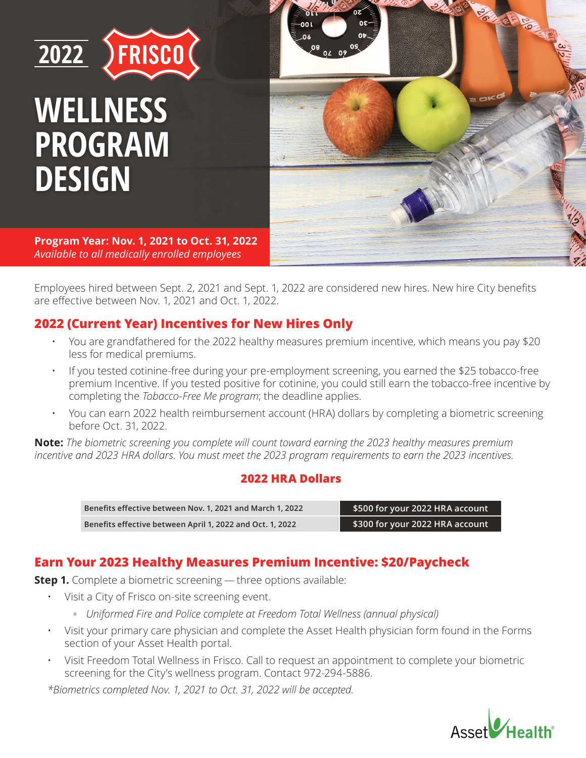



**Program Year: Nov. 1, 2021 to Oct. 31, 2022** *Available to all medically enrolled employees* 

Employees hired between Sept. 2, 2021 and Sept. 1, 2022 are considered new hires. New hire City benefits are effective between Nov. 1, 2021 and Oct. 1, 2022.

# **2022 (Current Year) Incentives for New Hires Only**

- You are grandfathered for the 2022 healthy measures premium incentive, which means you pay \$20 less for medical premiums.
- If you tested cotinine-free during your pre-employment screening, you earned the \$25 tobacco-free premium Incentive. If you tested positive for cotinine, you could still earn the tobacco-free incentive by completing the *Tobacco-Free Me program*; the deadline applies.
- You can earn 2022 health reimbursement account (HRA) dollars by completing a biometric screening before Oct. 31, 2022.

**Note:** *The biometric screening you complete will count toward earning the 2023 healthy measures premium incentive and 2023 HRA dollars. You must meet the 2023 program requirements to earn the 2023 incentives.*

## **2022 HRA Dollars**

| Benefits effective between Nov. 1, 2021 and March 1, 2022 | $\,$ \$500 for your 2022 HRA account $^{\circ}$ |
|-----------------------------------------------------------|-------------------------------------------------|
| Benefits effective between April 1, 2022 and Oct. 1, 2022 | \$300 for your 2022 HRA account                 |

# **Earn Your 2023 Healthy Measures Premium Incentive: \$20/Paycheck**

**Step 1.** Complete a biometric screening — three options available:

- Visit a City of Frisco on-site screening event.
	- *Uniformed Fire and Police complete at Freedom Total Wellness (annual physical)*
- Visit your primary care physician and complete the Asset Health physician form found in the Forms section of your Asset Health portal.
- Visit Freedom Total Wellness in Frisco. Call to request an appointment to complete your biometric screening for the City's wellness program. Contact 972-294-5886.

*\*Biometrics completed Nov. 1, 2021 to Oct. 31, 2022 will be accepted.*